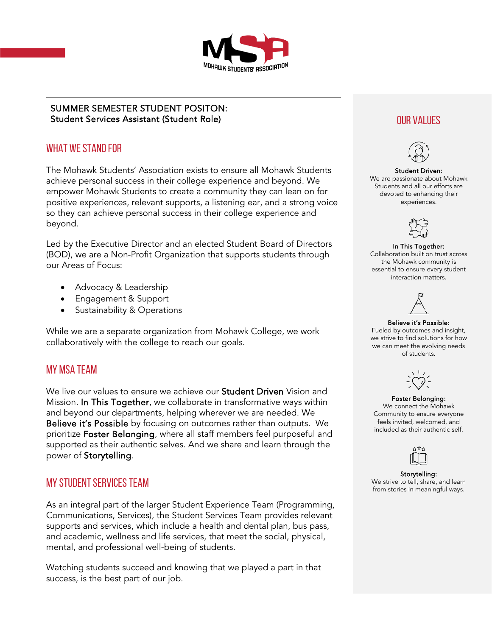

## SUMMER SEMESTER STUDENT POSITON: Student Services Assistant (Student Role) and the contract of the contract of the contract of the contract of the contract of the contract of the contract of the contract of the contract of the contract of the contract of

## WHAT WE STAND FOR

The Mohawk Students' Association exists to ensure all Mohawk Students achieve personal success in their college experience and beyond. We empower Mohawk Students to create a community they can lean on for positive experiences, relevant supports, a listening ear, and a strong voice so they can achieve personal success in their college experience and beyond.

Led by the Executive Director and an elected Student Board of Directors (BOD), we are a Non-Profit Organization that supports students through our Areas of Focus:

- Advocacy & Leadership
- Engagement & Support
- Sustainability & Operations

While we are a separate organization from Mohawk College, we work collaboratively with the college to reach our goals.

## MY MSA TEAM

We live our values to ensure we achieve our **Student Driven** Vision and Mission. In This Together, we collaborate in transformative ways within and beyond our departments, helping wherever we are needed. We Believe it's Possible by focusing on outcomes rather than outputs. We prioritize Foster Belonging, where all staff members feel purposeful and supported as their authentic selves. And we share and learn through the power of Storytelling.

## MY STUDENT SERVICES TEAM

As an integral part of the larger Student Experience Team (Programming, Communications, Services), the Student Services Team provides relevant supports and services, which include a health and dental plan, bus pass, and academic, wellness and life services, that meet the social, physical, mental, and professional well-being of students.

Watching students succeed and knowing that we played a part in that success, is the best part of our job.



#### Student Driven:

We are passionate about Mohawk Students and all our efforts are devoted to enhancing their experiences.



#### In This Together:

Collaboration built on trust across the Mohawk community is essential to ensure every student interaction matters.



#### Believe it's Possible:

Fueled by outcomes and insight, we strive to find solutions for how we can meet the evolving needs of students.



#### Foster Belonging:

We connect the Mohawk Community to ensure everyone feels invited, welcomed, and included as their authentic self.



Storytelling: We strive to tell, share, and learn from stories in meaningful ways.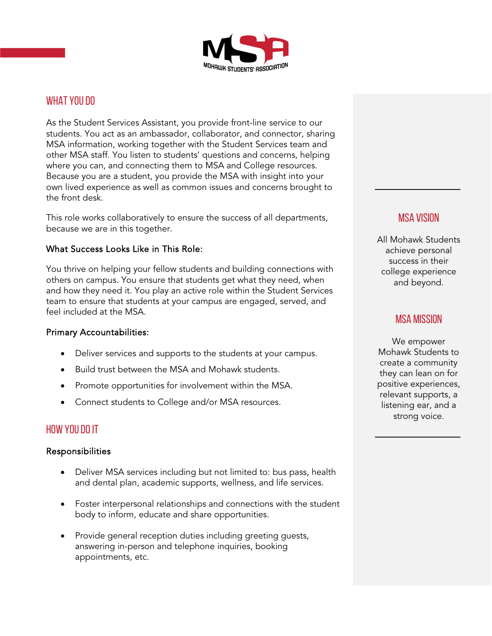

## WHAT YOU DO

As the Student Services Assistant, you provide front-line service to our students. You act as an ambassador, collaborator, and connector, sharing MSA information, working together with the Student Services team and other MSA staff. You listen to students' questions and concerns, helping where you can, and connecting them to MSA and College resources. Because you are a student, you provide the MSA with insight into your own lived experience as well as common issues and concerns brought to the front desk.

This role works collaboratively to ensure the success of all departments, because we are in this together.

#### What Success Looks Like in This Role:

You thrive on helping your fellow students and building connections with others on campus. You ensure that students get what they need, when and how they need it. You play an active role within the Student Services team to ensure that students at your campus are engaged, served, and feel included at the MSA.

#### Primary Accountabilities:

- Deliver services and supports to the students at your campus.
- Build trust between the MSA and Mohawk students.
- Promote opportunities for involvement within the MSA.
- Connect students to College and/or MSA resources.

## HOW YOU DO IT

#### Responsibilities

- Deliver MSA services including but not limited to: bus pass, health and dental plan, academic supports, wellness, and life services.
- Foster interpersonal relationships and connections with the student body to inform, educate and share opportunities.
- Provide general reception duties including greeting guests, answering in-person and telephone inquiries, booking appointments, etc.

## MSA VISION

All Mohawk Students achieve personal success in their college experience and beyond.

## MSA MISSION

We empower Mohawk Students to create a community they can lean on for positive experiences, relevant supports, a listening ear, and a strong voice.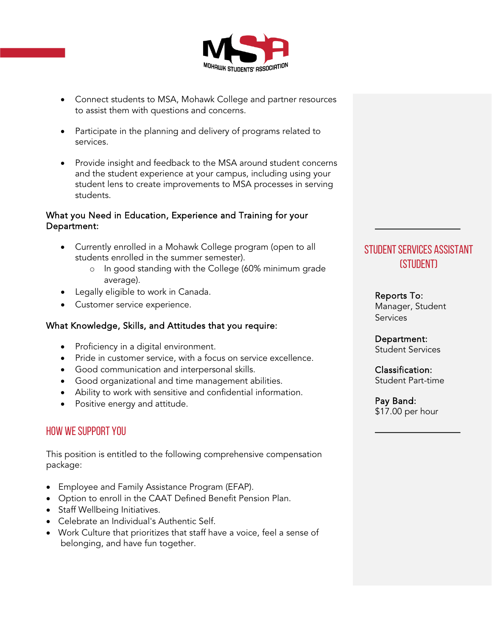

- Connect students to MSA, Mohawk College and partner resources to assist them with questions and concerns.
- Participate in the planning and delivery of programs related to services.
- Provide insight and feedback to the MSA around student concerns and the student experience at your campus, including using your student lens to create improvements to MSA processes in serving students.

### What you Need in Education, Experience and Training for your Department:

- Currently enrolled in a Mohawk College program (open to all students enrolled in the summer semester).
	- o In good standing with the College (60% minimum grade average).
- Legally eligible to work in Canada.
- Customer service experience.

## What Knowledge, Skills, and Attitudes that you require:

- Proficiency in a digital environment.
- Pride in customer service, with a focus on service excellence.
- Good communication and interpersonal skills.
- Good organizational and time management abilities.
- Ability to work with sensitive and confidential information.
- Positive energy and attitude.

## HOW WE SUPPORT YOU

This position is entitled to the following comprehensive compensation package:

- Employee and Family Assistance Program (EFAP).
- Option to enroll in the CAAT Defined Benefit Pension Plan.
- Staff Wellbeing Initiatives.
- Celebrate an Individual's Authentic Self.
- Work Culture that prioritizes that staff have a voice, feel a sense of belonging, and have fun together.

# STUDENT SERVICES ASSISTANT (STUDENT)

Reports To: Manager, Student **Services** 

Department: Student Services

Classification: Student Part-time

Pay Band: \$17.00 per hour